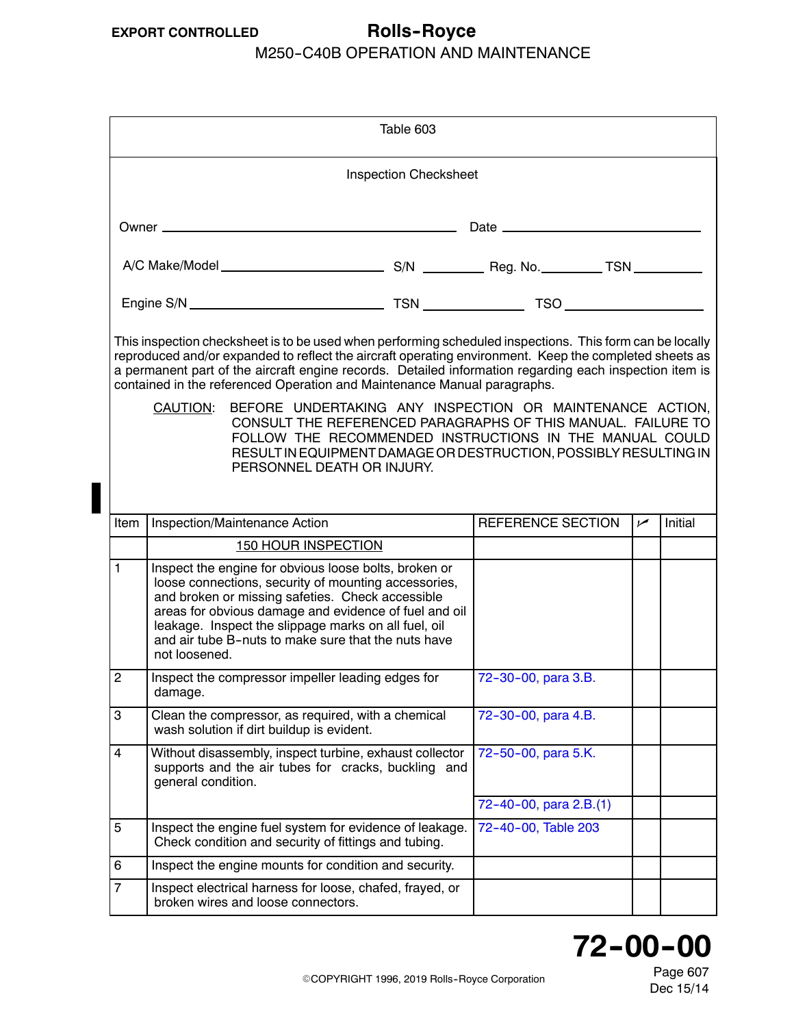## <span id="page-0-0"></span>**EXPORT CONTROLLED Rolls--Royce**

### M250-C40B OPERATION AND MAINTENANCE

| Table 603                                                                                                                                                                                                                                                                                                                                                                                                                                                                                                                                                                                                                                                                                                             |                                                                                                                                                                                                                                                                                                                                                            |  |                          |     |         |  |
|-----------------------------------------------------------------------------------------------------------------------------------------------------------------------------------------------------------------------------------------------------------------------------------------------------------------------------------------------------------------------------------------------------------------------------------------------------------------------------------------------------------------------------------------------------------------------------------------------------------------------------------------------------------------------------------------------------------------------|------------------------------------------------------------------------------------------------------------------------------------------------------------------------------------------------------------------------------------------------------------------------------------------------------------------------------------------------------------|--|--------------------------|-----|---------|--|
| <b>Inspection Checksheet</b>                                                                                                                                                                                                                                                                                                                                                                                                                                                                                                                                                                                                                                                                                          |                                                                                                                                                                                                                                                                                                                                                            |  |                          |     |         |  |
|                                                                                                                                                                                                                                                                                                                                                                                                                                                                                                                                                                                                                                                                                                                       |                                                                                                                                                                                                                                                                                                                                                            |  |                          |     |         |  |
|                                                                                                                                                                                                                                                                                                                                                                                                                                                                                                                                                                                                                                                                                                                       |                                                                                                                                                                                                                                                                                                                                                            |  |                          |     |         |  |
|                                                                                                                                                                                                                                                                                                                                                                                                                                                                                                                                                                                                                                                                                                                       |                                                                                                                                                                                                                                                                                                                                                            |  |                          |     |         |  |
| This inspection checksheet is to be used when performing scheduled inspections. This form can be locally<br>reproduced and/or expanded to reflect the aircraft operating environment. Keep the completed sheets as<br>a permanent part of the aircraft engine records. Detailed information regarding each inspection item is<br>contained in the referenced Operation and Maintenance Manual paragraphs.<br>BEFORE UNDERTAKING ANY INSPECTION OR MAINTENANCE ACTION,<br><b>CAUTION:</b><br>CONSULT THE REFERENCED PARAGRAPHS OF THIS MANUAL. FAILURE TO<br>FOLLOW THE RECOMMENDED INSTRUCTIONS IN THE MANUAL COULD<br>RESULT IN EQUIPMENT DAMAGE OR DESTRUCTION, POSSIBLY RESULTING IN<br>PERSONNEL DEATH OR INJURY. |                                                                                                                                                                                                                                                                                                                                                            |  |                          |     |         |  |
| Item                                                                                                                                                                                                                                                                                                                                                                                                                                                                                                                                                                                                                                                                                                                  | Inspection/Maintenance Action                                                                                                                                                                                                                                                                                                                              |  | <b>REFERENCE SECTION</b> | سما | Initial |  |
|                                                                                                                                                                                                                                                                                                                                                                                                                                                                                                                                                                                                                                                                                                                       | <b>150 HOUR INSPECTION</b>                                                                                                                                                                                                                                                                                                                                 |  |                          |     |         |  |
| 1                                                                                                                                                                                                                                                                                                                                                                                                                                                                                                                                                                                                                                                                                                                     | Inspect the engine for obvious loose bolts, broken or<br>loose connections, security of mounting accessories,<br>and broken or missing safeties. Check accessible<br>areas for obvious damage and evidence of fuel and oil<br>leakage. Inspect the slippage marks on all fuel, oil<br>and air tube B-nuts to make sure that the nuts have<br>not loosened. |  |                          |     |         |  |
| $\overline{c}$                                                                                                                                                                                                                                                                                                                                                                                                                                                                                                                                                                                                                                                                                                        | Inspect the compressor impeller leading edges for<br>damage.                                                                                                                                                                                                                                                                                               |  | 72-30-00, para 3.B.      |     |         |  |
| 3                                                                                                                                                                                                                                                                                                                                                                                                                                                                                                                                                                                                                                                                                                                     | Clean the compressor, as required, with a chemical<br>wash solution if dirt buildup is evident.                                                                                                                                                                                                                                                            |  | 72-30-00, para 4.B.      |     |         |  |
| 4                                                                                                                                                                                                                                                                                                                                                                                                                                                                                                                                                                                                                                                                                                                     | Without disassembly, inspect turbine, exhaust collector<br>supports and the air tubes for cracks, buckling and<br>general condition.                                                                                                                                                                                                                       |  | 72-50-00, para 5.K.      |     |         |  |
|                                                                                                                                                                                                                                                                                                                                                                                                                                                                                                                                                                                                                                                                                                                       |                                                                                                                                                                                                                                                                                                                                                            |  | 72-40-00, para 2.B.(1)   |     |         |  |
| 5                                                                                                                                                                                                                                                                                                                                                                                                                                                                                                                                                                                                                                                                                                                     | Inspect the engine fuel system for evidence of leakage.<br>Check condition and security of fittings and tubing.                                                                                                                                                                                                                                            |  | 72-40-00, Table 203      |     |         |  |
| 6                                                                                                                                                                                                                                                                                                                                                                                                                                                                                                                                                                                                                                                                                                                     | Inspect the engine mounts for condition and security.                                                                                                                                                                                                                                                                                                      |  |                          |     |         |  |
| $\overline{7}$                                                                                                                                                                                                                                                                                                                                                                                                                                                                                                                                                                                                                                                                                                        | Inspect electrical harness for loose, chafed, frayed, or<br>broken wires and loose connectors.                                                                                                                                                                                                                                                             |  |                          |     |         |  |



Page 607 Dec 15/14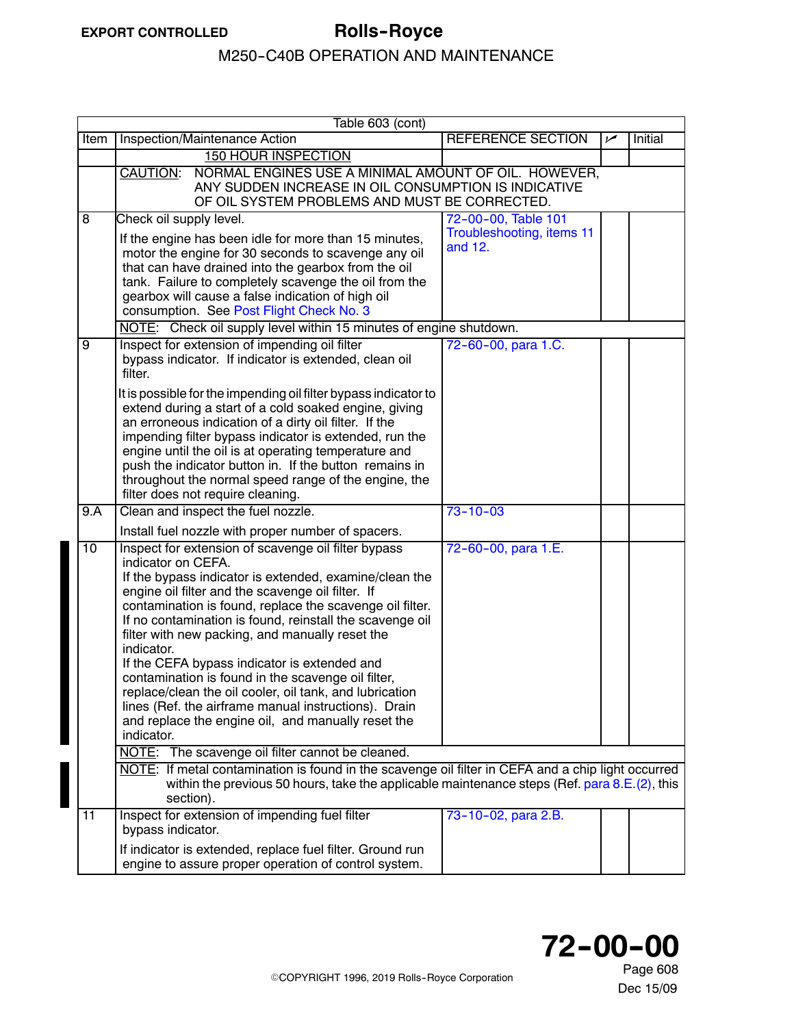<span id="page-1-0"></span>

|      | Table 603 (cont)                                                                                                                                                                                                                                                                                                                                                                                                                                                                                                                                                                                                                                                                                                                                                                                                                                                                                                                                         |                                      |     |         |  |  |  |
|------|----------------------------------------------------------------------------------------------------------------------------------------------------------------------------------------------------------------------------------------------------------------------------------------------------------------------------------------------------------------------------------------------------------------------------------------------------------------------------------------------------------------------------------------------------------------------------------------------------------------------------------------------------------------------------------------------------------------------------------------------------------------------------------------------------------------------------------------------------------------------------------------------------------------------------------------------------------|--------------------------------------|-----|---------|--|--|--|
| Item | Inspection/Maintenance Action                                                                                                                                                                                                                                                                                                                                                                                                                                                                                                                                                                                                                                                                                                                                                                                                                                                                                                                            | <b>REFERENCE SECTION</b>             | سما | Initial |  |  |  |
|      | <b>150 HOUR INSPECTION</b>                                                                                                                                                                                                                                                                                                                                                                                                                                                                                                                                                                                                                                                                                                                                                                                                                                                                                                                               |                                      |     |         |  |  |  |
|      | NORMAL ENGINES USE A MINIMAL AMOUNT OF OIL. HOWEVER,<br>CAUTION:<br>ANY SUDDEN INCREASE IN OIL CONSUMPTION IS INDICATIVE<br>OF OIL SYSTEM PROBLEMS AND MUST BE CORRECTED.                                                                                                                                                                                                                                                                                                                                                                                                                                                                                                                                                                                                                                                                                                                                                                                |                                      |     |         |  |  |  |
| 8    | Check oil supply level.                                                                                                                                                                                                                                                                                                                                                                                                                                                                                                                                                                                                                                                                                                                                                                                                                                                                                                                                  | 72-00-00, Table 101                  |     |         |  |  |  |
|      | If the engine has been idle for more than 15 minutes,<br>motor the engine for 30 seconds to scavenge any oil<br>that can have drained into the gearbox from the oil<br>tank. Failure to completely scavenge the oil from the<br>gearbox will cause a false indication of high oil<br>consumption. See Post Flight Check No. 3                                                                                                                                                                                                                                                                                                                                                                                                                                                                                                                                                                                                                            | Troubleshooting, items 11<br>and 12. |     |         |  |  |  |
|      | NOTE: Check oil supply level within 15 minutes of engine shutdown.                                                                                                                                                                                                                                                                                                                                                                                                                                                                                                                                                                                                                                                                                                                                                                                                                                                                                       |                                      |     |         |  |  |  |
| 9    | Inspect for extension of impending oil filter<br>bypass indicator. If indicator is extended, clean oil<br>filter.<br>It is possible for the impending oil filter bypass indicator to<br>extend during a start of a cold soaked engine, giving<br>an erroneous indication of a dirty oil filter. If the<br>impending filter bypass indicator is extended, run the<br>engine until the oil is at operating temperature and<br>push the indicator button in. If the button remains in<br>throughout the normal speed range of the engine, the<br>filter does not require cleaning.                                                                                                                                                                                                                                                                                                                                                                          | 72-60-00, para 1.C.                  |     |         |  |  |  |
| 9.A  | Clean and inspect the fuel nozzle.                                                                                                                                                                                                                                                                                                                                                                                                                                                                                                                                                                                                                                                                                                                                                                                                                                                                                                                       | $73 - 10 - 03$                       |     |         |  |  |  |
|      | Install fuel nozzle with proper number of spacers.                                                                                                                                                                                                                                                                                                                                                                                                                                                                                                                                                                                                                                                                                                                                                                                                                                                                                                       |                                      |     |         |  |  |  |
| 10   | Inspect for extension of scavenge oil filter bypass<br>indicator on CEFA.<br>If the bypass indicator is extended, examine/clean the<br>engine oil filter and the scavenge oil filter. If<br>contamination is found, replace the scavenge oil filter.<br>If no contamination is found, reinstall the scavenge oil<br>filter with new packing, and manually reset the<br>indicator.<br>If the CEFA bypass indicator is extended and<br>contamination is found in the scavenge oil filter,<br>replace/clean the oil cooler, oil tank, and lubrication<br>lines (Ref. the airframe manual instructions). Drain<br>and replace the engine oil, and manually reset the<br>indicator.<br>NOTE: The scavenge oil filter cannot be cleaned.<br>NOTE: If metal contamination is found in the scavenge oil filter in CEFA and a chip light occurred<br>within the previous 50 hours, take the applicable maintenance steps (Ref. para $8.E.(2)$ , this<br>section). | 72-60-00, para 1.E.                  |     |         |  |  |  |
| 11   | Inspect for extension of impending fuel filter<br>bypass indicator.<br>If indicator is extended, replace fuel filter. Ground run<br>engine to assure proper operation of control system.                                                                                                                                                                                                                                                                                                                                                                                                                                                                                                                                                                                                                                                                                                                                                                 | 73-10-02, para 2.B.                  |     |         |  |  |  |

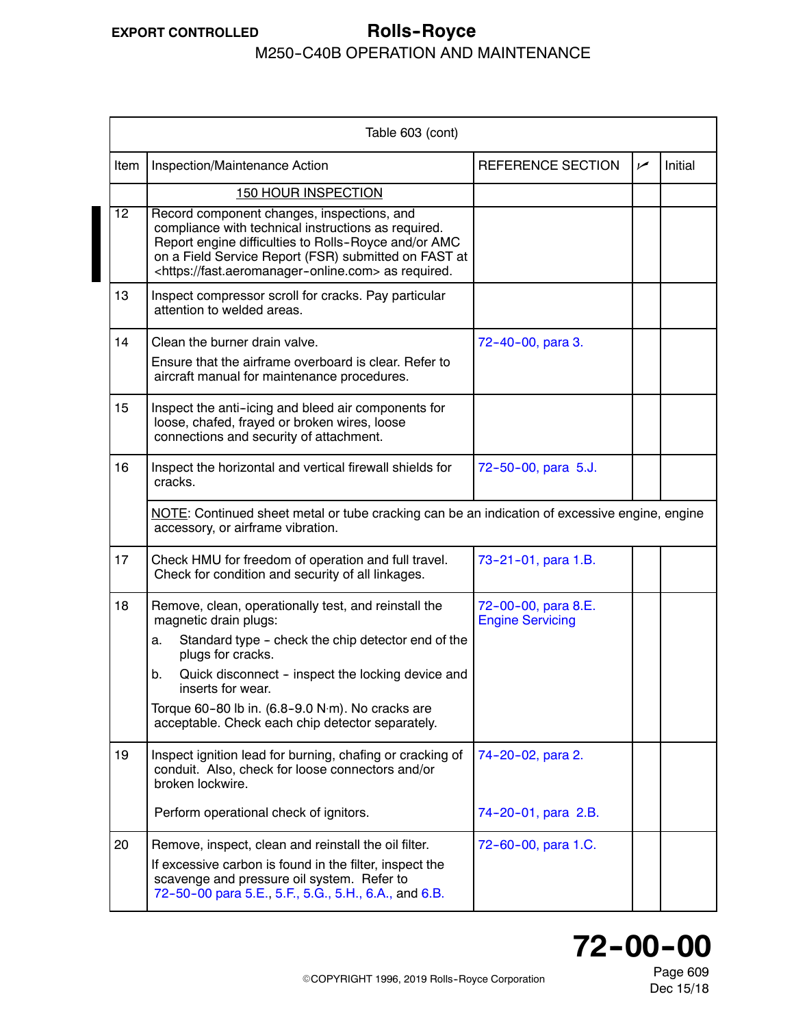#### <span id="page-2-0"></span>**EXPORT CONTROLLED Rolls--Royce** M250-C40B OPERATION AND MAINTENANCE

|                 | Table 603 (cont)                                                                                                                                                                                                                                                                                                                                       |                                                |     |         |
|-----------------|--------------------------------------------------------------------------------------------------------------------------------------------------------------------------------------------------------------------------------------------------------------------------------------------------------------------------------------------------------|------------------------------------------------|-----|---------|
| Item            | Inspection/Maintenance Action                                                                                                                                                                                                                                                                                                                          | REFERENCE SECTION                              | سما | Initial |
|                 | <b>150 HOUR INSPECTION</b>                                                                                                                                                                                                                                                                                                                             |                                                |     |         |
| $\overline{12}$ | Record component changes, inspections, and<br>compliance with technical instructions as required.<br>Report engine difficulties to Rolls-Royce and/or AMC<br>on a Field Service Report (FSR) submitted on FAST at<br><https: fast.aeromanager-online.com=""> as required.</https:>                                                                     |                                                |     |         |
| 13              | Inspect compressor scroll for cracks. Pay particular<br>attention to welded areas.                                                                                                                                                                                                                                                                     |                                                |     |         |
| 14              | Clean the burner drain valve.<br>Ensure that the airframe overboard is clear. Refer to<br>aircraft manual for maintenance procedures.                                                                                                                                                                                                                  | 72-40-00, para 3.                              |     |         |
| 15              | Inspect the anti-icing and bleed air components for<br>loose, chafed, frayed or broken wires, loose<br>connections and security of attachment.                                                                                                                                                                                                         |                                                |     |         |
| 16              | Inspect the horizontal and vertical firewall shields for<br>cracks.                                                                                                                                                                                                                                                                                    | 72-50-00, para 5.J.                            |     |         |
|                 | NOTE: Continued sheet metal or tube cracking can be an indication of excessive engine, engine<br>accessory, or airframe vibration.                                                                                                                                                                                                                     |                                                |     |         |
| 17              | Check HMU for freedom of operation and full travel.<br>Check for condition and security of all linkages.                                                                                                                                                                                                                                               | 73-21-01, para 1.B.                            |     |         |
| 18              | Remove, clean, operationally test, and reinstall the<br>magnetic drain plugs:<br>Standard type - check the chip detector end of the<br>a.<br>plugs for cracks.<br>Quick disconnect - inspect the locking device and<br>b.<br>inserts for wear.<br>Torque 60-80 lb in. (6.8-9.0 N·m). No cracks are<br>acceptable. Check each chip detector separately. | 72-00-00, para 8.E.<br><b>Engine Servicing</b> |     |         |
| 19              | Inspect ignition lead for burning, chafing or cracking of<br>conduit. Also, check for loose connectors and/or<br>broken lockwire.                                                                                                                                                                                                                      | 74-20-02, para 2.                              |     |         |
|                 | Perform operational check of ignitors.                                                                                                                                                                                                                                                                                                                 | 74-20-01, para 2.B.                            |     |         |
| 20              | Remove, inspect, clean and reinstall the oil filter.<br>If excessive carbon is found in the filter, inspect the<br>scavenge and pressure oil system. Refer to<br>72-50-00 para 5.E., 5.F., 5.G., 5.H., 6.A., and 6.B.                                                                                                                                  | 72-60-00, para 1.C.                            |     |         |



Page 609 Dec 15/18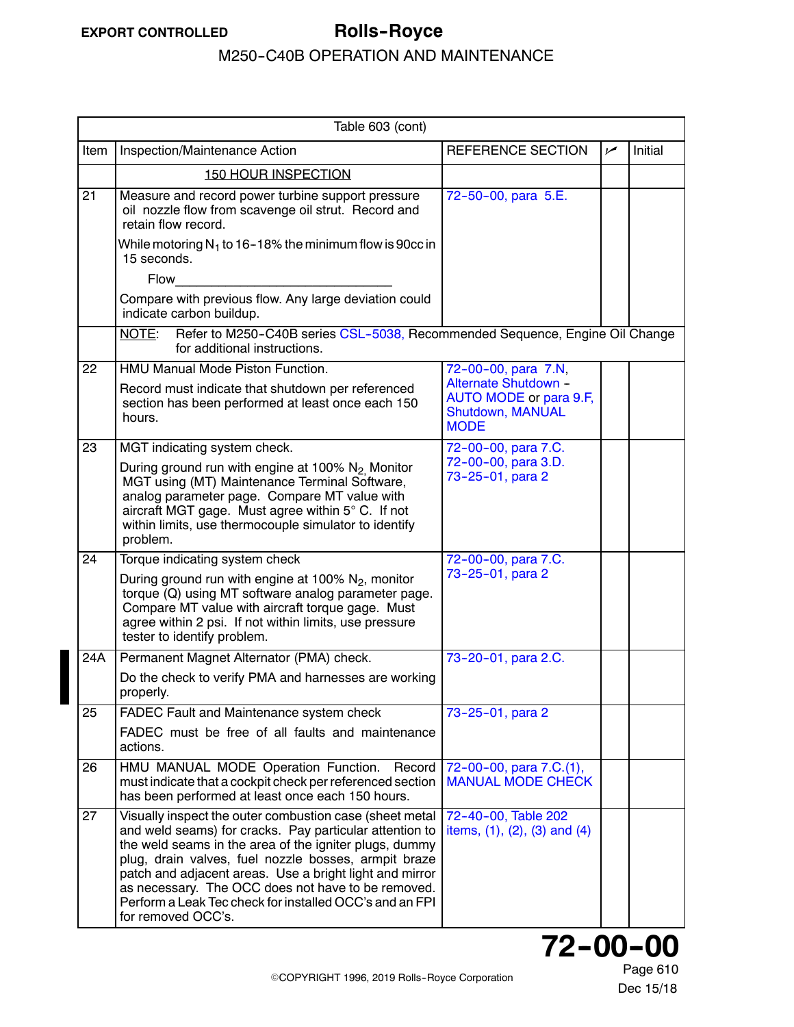<span id="page-3-0"></span>

|                 | Table 603 (cont)                                                                                                                                                                                                                                                                                                                                                                                                                       |                                                                                   |            |         |
|-----------------|----------------------------------------------------------------------------------------------------------------------------------------------------------------------------------------------------------------------------------------------------------------------------------------------------------------------------------------------------------------------------------------------------------------------------------------|-----------------------------------------------------------------------------------|------------|---------|
| Item            | Inspection/Maintenance Action                                                                                                                                                                                                                                                                                                                                                                                                          | REFERENCE SECTION                                                                 | $\sqrt{ }$ | Initial |
|                 | <b>150 HOUR INSPECTION</b>                                                                                                                                                                                                                                                                                                                                                                                                             |                                                                                   |            |         |
| $\overline{21}$ | Measure and record power turbine support pressure<br>oil nozzle flow from scavenge oil strut. Record and<br>retain flow record.                                                                                                                                                                                                                                                                                                        | 72-50-00, para 5.E.                                                               |            |         |
|                 | While motoring $N_1$ to 16–18% the minimum flow is 90cc in<br>15 seconds.                                                                                                                                                                                                                                                                                                                                                              |                                                                                   |            |         |
|                 | Flow                                                                                                                                                                                                                                                                                                                                                                                                                                   |                                                                                   |            |         |
|                 | Compare with previous flow. Any large deviation could<br>indicate carbon buildup.                                                                                                                                                                                                                                                                                                                                                      |                                                                                   |            |         |
|                 | Refer to M250-C40B series CSL-5038, Recommended Sequence, Engine Oil Change<br>NOTE:<br>for additional instructions.                                                                                                                                                                                                                                                                                                                   |                                                                                   |            |         |
| 22              | <b>HMU Manual Mode Piston Function.</b>                                                                                                                                                                                                                                                                                                                                                                                                | 72-00-00, para 7.N,                                                               |            |         |
|                 | Record must indicate that shutdown per referenced<br>section has been performed at least once each 150<br>hours.                                                                                                                                                                                                                                                                                                                       | Alternate Shutdown -<br>AUTO MODE or para 9.F,<br>Shutdown, MANUAL<br><b>MODE</b> |            |         |
| 23              | MGT indicating system check.                                                                                                                                                                                                                                                                                                                                                                                                           | 72-00-00, para 7.C.                                                               |            |         |
|                 | During ground run with engine at 100% N <sub>2</sub> Monitor<br>MGT using (MT) Maintenance Terminal Software,<br>analog parameter page. Compare MT value with<br>aircraft MGT gage. Must agree within 5° C. If not<br>within limits, use thermocouple simulator to identify<br>problem.                                                                                                                                                | 72-00-00, para 3.D.<br>73-25-01, para 2                                           |            |         |
| 24              | Torque indicating system check                                                                                                                                                                                                                                                                                                                                                                                                         | 72-00-00, para 7.C.                                                               |            |         |
|                 | During ground run with engine at 100% $N_2$ , monitor<br>torque (Q) using MT software analog parameter page.<br>Compare MT value with aircraft torque gage. Must<br>agree within 2 psi. If not within limits, use pressure<br>tester to identify problem.                                                                                                                                                                              | 73-25-01, para 2                                                                  |            |         |
| 24A             | Permanent Magnet Alternator (PMA) check.                                                                                                                                                                                                                                                                                                                                                                                               | 73-20-01, para 2.C.                                                               |            |         |
|                 | Do the check to verify PMA and harnesses are working<br>properly.                                                                                                                                                                                                                                                                                                                                                                      |                                                                                   |            |         |
| 25              | FADEC Fault and Maintenance system check                                                                                                                                                                                                                                                                                                                                                                                               | 73-25-01, para 2                                                                  |            |         |
|                 | FADEC must be free of all faults and maintenance<br>actions.                                                                                                                                                                                                                                                                                                                                                                           |                                                                                   |            |         |
| 26              | HMU MANUAL MODE Operation Function. Record<br>must indicate that a cockpit check per referenced section<br>has been performed at least once each 150 hours.                                                                                                                                                                                                                                                                            | 72-00-00, para 7.C.(1),<br><b>MANUAL MODE CHECK</b>                               |            |         |
| 27              | Visually inspect the outer combustion case (sheet metal<br>and weld seams) for cracks. Pay particular attention to<br>the weld seams in the area of the igniter plugs, dummy<br>plug, drain valves, fuel nozzle bosses, armpit braze<br>patch and adjacent areas. Use a bright light and mirror<br>as necessary. The OCC does not have to be removed.<br>Perform a Leak Tec check for installed OCC's and an FPI<br>for removed OCC's. | 72-40-00, Table 202<br>items, $(1)$ , $(2)$ , $(3)$ and $(4)$                     |            |         |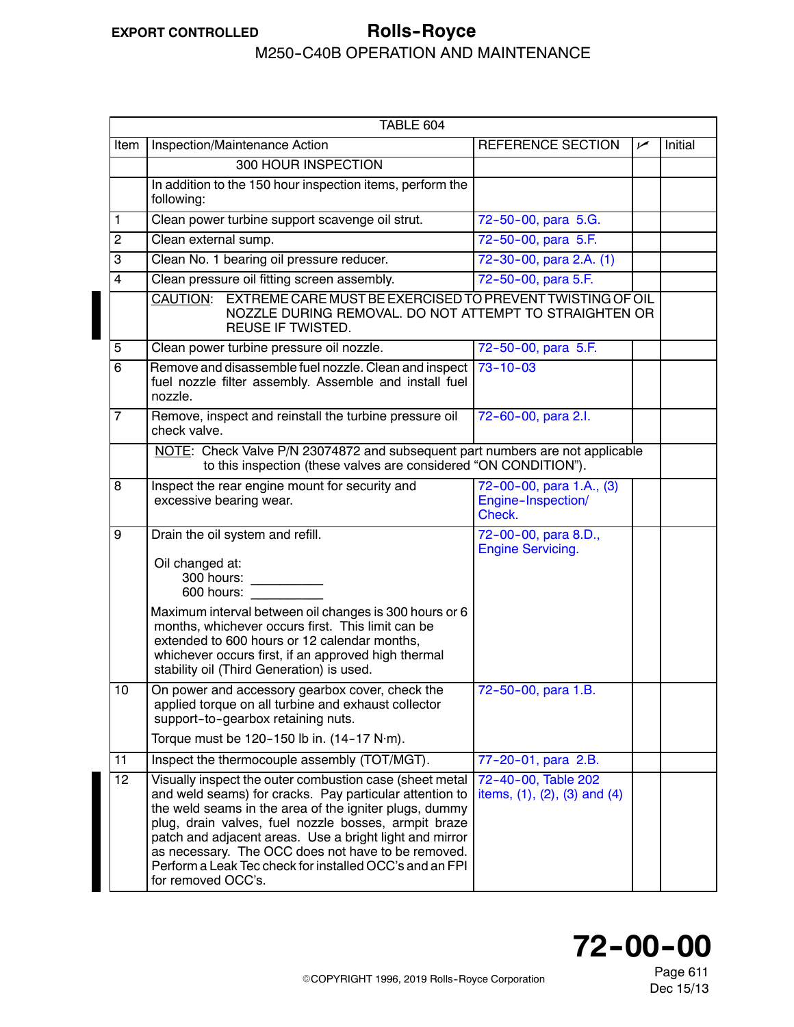# **EXPORT CONTROLLED Rolls--Royce**

### M250-C40B OPERATION AND MAINTENANCE

|                | TABLE 604                                                                                                                                                                                                                                                                                                                                                                                                                              |                                                               |     |         |
|----------------|----------------------------------------------------------------------------------------------------------------------------------------------------------------------------------------------------------------------------------------------------------------------------------------------------------------------------------------------------------------------------------------------------------------------------------------|---------------------------------------------------------------|-----|---------|
| Item           | Inspection/Maintenance Action                                                                                                                                                                                                                                                                                                                                                                                                          | REFERENCE SECTION                                             | مرا | Initial |
|                | <b>300 HOUR INSPECTION</b>                                                                                                                                                                                                                                                                                                                                                                                                             |                                                               |     |         |
|                | In addition to the 150 hour inspection items, perform the<br>following:                                                                                                                                                                                                                                                                                                                                                                |                                                               |     |         |
| $\mathbf{1}$   | Clean power turbine support scavenge oil strut.                                                                                                                                                                                                                                                                                                                                                                                        | 72-50-00, para 5.G.                                           |     |         |
| $\overline{c}$ | Clean external sump.                                                                                                                                                                                                                                                                                                                                                                                                                   | 72-50-00, para 5.F.                                           |     |         |
| $\overline{3}$ | Clean No. 1 bearing oil pressure reducer.                                                                                                                                                                                                                                                                                                                                                                                              | 72-30-00, para 2.A. (1)                                       |     |         |
| $\overline{4}$ | Clean pressure oil fitting screen assembly.                                                                                                                                                                                                                                                                                                                                                                                            | 72-50-00, para 5.F.                                           |     |         |
|                | CAUTION: EXTREME CARE MUST BE EXERCISED TO PREVENT TWISTING OF OIL<br>NOZZLE DURING REMOVAL. DO NOT ATTEMPT TO STRAIGHTEN OR<br>REUSE IF TWISTED.                                                                                                                                                                                                                                                                                      |                                                               |     |         |
| 5              | Clean power turbine pressure oil nozzle.                                                                                                                                                                                                                                                                                                                                                                                               | 72-50-00, para 5.F.                                           |     |         |
| 6              | Remove and disassemble fuel nozzle. Clean and inspect<br>fuel nozzle filter assembly. Assemble and install fuel<br>nozzle.                                                                                                                                                                                                                                                                                                             | $73 - 10 - 03$                                                |     |         |
| $\overline{7}$ | Remove, inspect and reinstall the turbine pressure oil<br>check valve.                                                                                                                                                                                                                                                                                                                                                                 | 72-60-00, para 2.l.                                           |     |         |
|                | NOTE: Check Valve P/N 23074872 and subsequent part numbers are not applicable<br>to this inspection (these valves are considered "ON CONDITION").                                                                                                                                                                                                                                                                                      |                                                               |     |         |
| 8              | Inspect the rear engine mount for security and<br>excessive bearing wear.                                                                                                                                                                                                                                                                                                                                                              | 72-00-00, para 1.A., (3)<br>Engine-Inspection/<br>Check.      |     |         |
| 9              | Drain the oil system and refill.<br>Oil changed at:<br>300 hours: __________<br>600 hours:<br>Maximum interval between oil changes is 300 hours or 6<br>months, whichever occurs first. This limit can be<br>extended to 600 hours or 12 calendar months,<br>whichever occurs first, if an approved high thermal<br>stability oil (Third Generation) is used.                                                                          | 72-00-00, para 8.D.,<br><b>Engine Servicing.</b>              |     |         |
| 10             | On power and accessory gearbox cover, check the<br>applied torque on all turbine and exhaust collector<br>support-to-gearbox retaining nuts.<br>Torque must be 120-150 lb in. (14-17 N·m).                                                                                                                                                                                                                                             | 72-50-00, para 1.B.                                           |     |         |
| 11             | Inspect the thermocouple assembly (TOT/MGT).                                                                                                                                                                                                                                                                                                                                                                                           | 77-20-01, para 2.B.                                           |     |         |
| 12             | Visually inspect the outer combustion case (sheet metal<br>and weld seams) for cracks. Pay particular attention to<br>the weld seams in the area of the igniter plugs, dummy<br>plug, drain valves, fuel nozzle bosses, armpit braze<br>patch and adjacent areas. Use a bright light and mirror<br>as necessary. The OCC does not have to be removed.<br>Perform a Leak Tec check for installed OCC's and an FPI<br>for removed OCC's. | 72-40-00, Table 202<br>items, $(1)$ , $(2)$ , $(3)$ and $(4)$ |     |         |



Page 611 Dec 15/13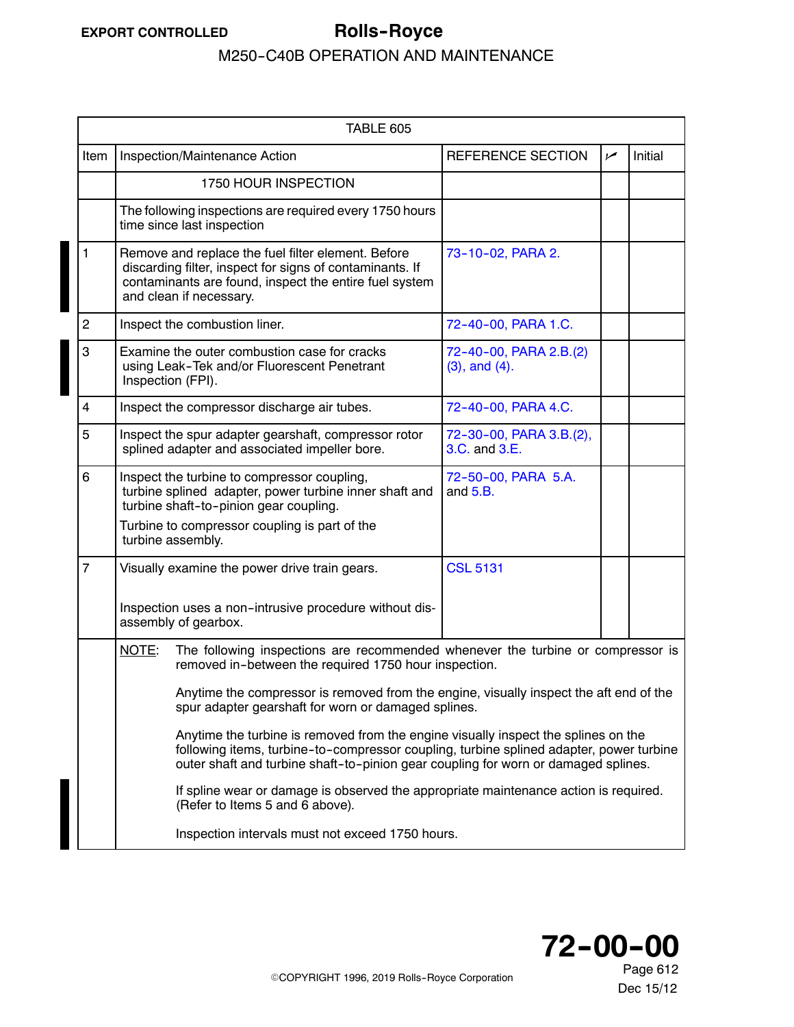<span id="page-5-0"></span>

|                | TABLE 605                                                                                                                                                                                                                                                           |                                               |     |         |  |
|----------------|---------------------------------------------------------------------------------------------------------------------------------------------------------------------------------------------------------------------------------------------------------------------|-----------------------------------------------|-----|---------|--|
| Item           | Inspection/Maintenance Action                                                                                                                                                                                                                                       | REFERENCE SECTION                             | سما | Initial |  |
|                | 1750 HOUR INSPECTION                                                                                                                                                                                                                                                |                                               |     |         |  |
|                | The following inspections are required every 1750 hours<br>time since last inspection                                                                                                                                                                               |                                               |     |         |  |
| 1              | Remove and replace the fuel filter element. Before<br>discarding filter, inspect for signs of contaminants. If<br>contaminants are found, inspect the entire fuel system<br>and clean if necessary.                                                                 | 73-10-02, PARA 2.                             |     |         |  |
| $\overline{c}$ | Inspect the combustion liner.                                                                                                                                                                                                                                       | 72-40-00, PARA 1.C.                           |     |         |  |
| 3              | Examine the outer combustion case for cracks<br>using Leak-Tek and/or Fluorescent Penetrant<br>Inspection (FPI).                                                                                                                                                    | 72-40-00, PARA 2.B.(2)<br>$(3)$ , and $(4)$ . |     |         |  |
| $\overline{4}$ | Inspect the compressor discharge air tubes.                                                                                                                                                                                                                         | 72-40-00, PARA 4.C.                           |     |         |  |
| 5              | Inspect the spur adapter gearshaft, compressor rotor<br>splined adapter and associated impeller bore.                                                                                                                                                               | 72-30-00, PARA 3.B.(2),<br>3.C. and 3.E.      |     |         |  |
| 6              | Inspect the turbine to compressor coupling,<br>turbine splined adapter, power turbine inner shaft and<br>turbine shaft-to-pinion gear coupling.                                                                                                                     | 72-50-00, PARA 5.A.<br>and $5.B.$             |     |         |  |
|                | Turbine to compressor coupling is part of the<br>turbine assembly.                                                                                                                                                                                                  |                                               |     |         |  |
| $\overline{7}$ | Visually examine the power drive train gears.                                                                                                                                                                                                                       | <b>CSL 5131</b>                               |     |         |  |
|                | Inspection uses a non-intrusive procedure without dis-<br>assembly of gearbox.                                                                                                                                                                                      |                                               |     |         |  |
|                | The following inspections are recommended whenever the turbine or compressor is<br>NOTE:<br>removed in-between the required 1750 hour inspection.                                                                                                                   |                                               |     |         |  |
|                | Anytime the compressor is removed from the engine, visually inspect the aft end of the<br>spur adapter gearshaft for worn or damaged splines.                                                                                                                       |                                               |     |         |  |
|                | Anytime the turbine is removed from the engine visually inspect the splines on the<br>following items, turbine-to-compressor coupling, turbine splined adapter, power turbine<br>outer shaft and turbine shaft-to-pinion gear coupling for worn or damaged splines. |                                               |     |         |  |
|                | If spline wear or damage is observed the appropriate maintenance action is required.<br>(Refer to Items 5 and 6 above).                                                                                                                                             |                                               |     |         |  |
|                | Inspection intervals must not exceed 1750 hours.                                                                                                                                                                                                                    |                                               |     |         |  |

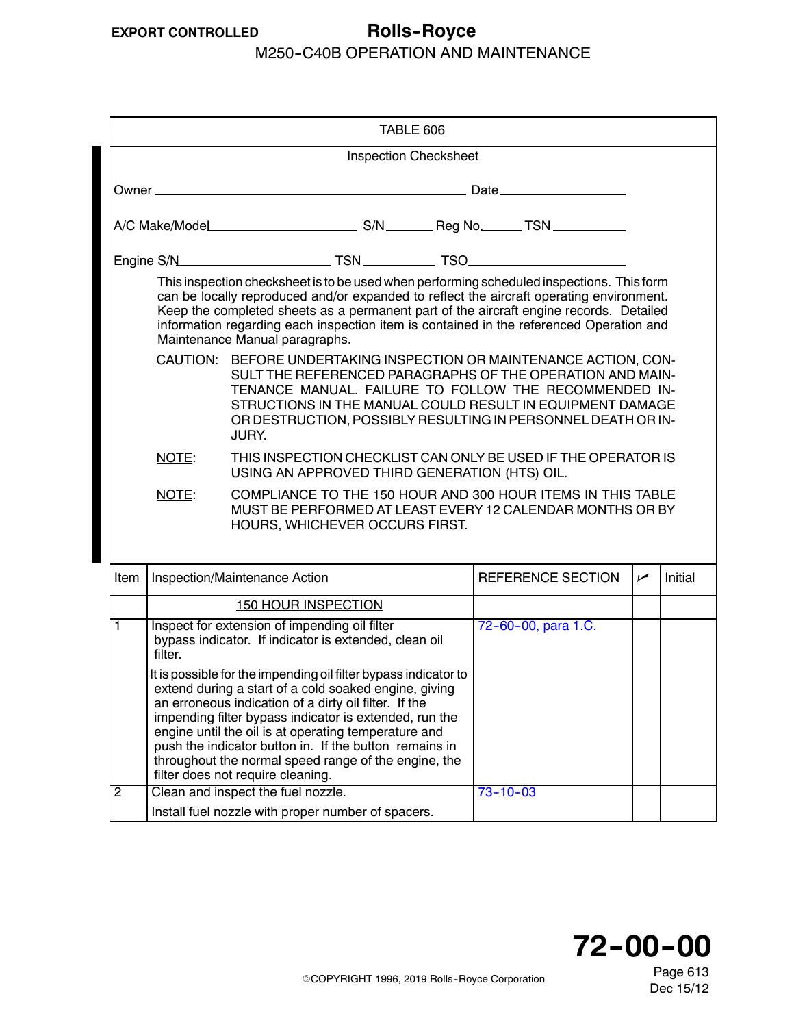| TABLE 606                    |                                                                                                                                                                                                                                                                                                                                                                                                              |                                                                                                                                                                                                                                                                                                                                                                                                                                                            |  |  |                |                          |     |         |
|------------------------------|--------------------------------------------------------------------------------------------------------------------------------------------------------------------------------------------------------------------------------------------------------------------------------------------------------------------------------------------------------------------------------------------------------------|------------------------------------------------------------------------------------------------------------------------------------------------------------------------------------------------------------------------------------------------------------------------------------------------------------------------------------------------------------------------------------------------------------------------------------------------------------|--|--|----------------|--------------------------|-----|---------|
| <b>Inspection Checksheet</b> |                                                                                                                                                                                                                                                                                                                                                                                                              |                                                                                                                                                                                                                                                                                                                                                                                                                                                            |  |  |                |                          |     |         |
|                              |                                                                                                                                                                                                                                                                                                                                                                                                              |                                                                                                                                                                                                                                                                                                                                                                                                                                                            |  |  |                |                          |     |         |
|                              |                                                                                                                                                                                                                                                                                                                                                                                                              |                                                                                                                                                                                                                                                                                                                                                                                                                                                            |  |  |                |                          |     |         |
|                              |                                                                                                                                                                                                                                                                                                                                                                                                              |                                                                                                                                                                                                                                                                                                                                                                                                                                                            |  |  |                |                          |     |         |
|                              | This inspection checksheet is to be used when performing scheduled inspections. This form<br>can be locally reproduced and/or expanded to reflect the aircraft operating environment.<br>Keep the completed sheets as a permanent part of the aircraft engine records. Detailed<br>information regarding each inspection item is contained in the referenced Operation and<br>Maintenance Manual paragraphs. |                                                                                                                                                                                                                                                                                                                                                                                                                                                            |  |  |                |                          |     |         |
|                              | CAUTION: BEFORE UNDERTAKING INSPECTION OR MAINTENANCE ACTION, CON-<br>SULT THE REFERENCED PARAGRAPHS OF THE OPERATION AND MAIN-<br>TENANCE MANUAL. FAILURE TO FOLLOW THE RECOMMENDED IN-<br>STRUCTIONS IN THE MANUAL COULD RESULT IN EQUIPMENT DAMAGE<br>OR DESTRUCTION, POSSIBLY RESULTING IN PERSONNEL DEATH OR IN-<br>JURY.                                                                               |                                                                                                                                                                                                                                                                                                                                                                                                                                                            |  |  |                |                          |     |         |
|                              | NOTE:                                                                                                                                                                                                                                                                                                                                                                                                        | THIS INSPECTION CHECKLIST CAN ONLY BE USED IF THE OPERATOR IS<br>USING AN APPROVED THIRD GENERATION (HTS) OIL.                                                                                                                                                                                                                                                                                                                                             |  |  |                |                          |     |         |
|                              | NOTE:                                                                                                                                                                                                                                                                                                                                                                                                        | COMPLIANCE TO THE 150 HOUR AND 300 HOUR ITEMS IN THIS TABLE<br>MUST BE PERFORMED AT LEAST EVERY 12 CALENDAR MONTHS OR BY<br>HOURS, WHICHEVER OCCURS FIRST.                                                                                                                                                                                                                                                                                                 |  |  |                |                          |     |         |
| Item                         |                                                                                                                                                                                                                                                                                                                                                                                                              | Inspection/Maintenance Action                                                                                                                                                                                                                                                                                                                                                                                                                              |  |  |                | <b>REFERENCE SECTION</b> | مما | Initial |
|                              |                                                                                                                                                                                                                                                                                                                                                                                                              | <b>150 HOUR INSPECTION</b>                                                                                                                                                                                                                                                                                                                                                                                                                                 |  |  |                |                          |     |         |
| $\overline{1}$               | filter.                                                                                                                                                                                                                                                                                                                                                                                                      | Inspect for extension of impending oil filter<br>bypass indicator. If indicator is extended, clean oil                                                                                                                                                                                                                                                                                                                                                     |  |  |                | 72-60-00, para 1.C.      |     |         |
|                              |                                                                                                                                                                                                                                                                                                                                                                                                              | It is possible for the impending oil filter bypass indicator to<br>extend during a start of a cold soaked engine, giving<br>an erroneous indication of a dirty oil filter. If the<br>impending filter bypass indicator is extended, run the<br>engine until the oil is at operating temperature and<br>push the indicator button in. If the button remains in<br>throughout the normal speed range of the engine, the<br>filter does not require cleaning. |  |  |                |                          |     |         |
| $\overline{2}$               |                                                                                                                                                                                                                                                                                                                                                                                                              | Clean and inspect the fuel nozzle.                                                                                                                                                                                                                                                                                                                                                                                                                         |  |  | $73 - 10 - 03$ |                          |     |         |
|                              |                                                                                                                                                                                                                                                                                                                                                                                                              | Install fuel nozzle with proper number of spacers.                                                                                                                                                                                                                                                                                                                                                                                                         |  |  |                |                          |     |         |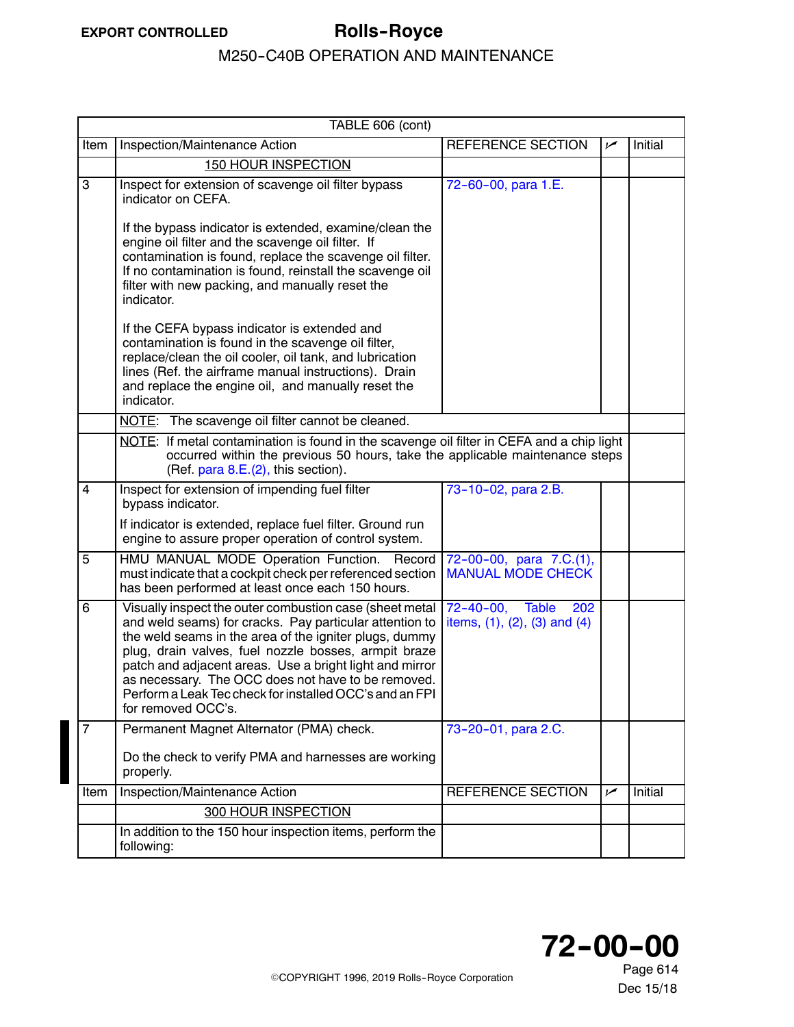<span id="page-7-0"></span>

| TABLE 606 (cont) |                                                                                                                                                                                                                                                                                                                                                                                                                                        |                                                                  |     |         |  |
|------------------|----------------------------------------------------------------------------------------------------------------------------------------------------------------------------------------------------------------------------------------------------------------------------------------------------------------------------------------------------------------------------------------------------------------------------------------|------------------------------------------------------------------|-----|---------|--|
| Item             | Inspection/Maintenance Action                                                                                                                                                                                                                                                                                                                                                                                                          | REFERENCE SECTION                                                | سما | Initial |  |
|                  | <b>150 HOUR INSPECTION</b>                                                                                                                                                                                                                                                                                                                                                                                                             |                                                                  |     |         |  |
| 3                | Inspect for extension of scavenge oil filter bypass<br>indicator on CEFA.                                                                                                                                                                                                                                                                                                                                                              | 72-60-00, para 1.E.                                              |     |         |  |
|                  | If the bypass indicator is extended, examine/clean the<br>engine oil filter and the scavenge oil filter. If<br>contamination is found, replace the scavenge oil filter.<br>If no contamination is found, reinstall the scavenge oil<br>filter with new packing, and manually reset the<br>indicator.                                                                                                                                   |                                                                  |     |         |  |
|                  | If the CEFA bypass indicator is extended and<br>contamination is found in the scavenge oil filter,<br>replace/clean the oil cooler, oil tank, and lubrication<br>lines (Ref. the airframe manual instructions). Drain<br>and replace the engine oil, and manually reset the<br>indicator.                                                                                                                                              |                                                                  |     |         |  |
|                  | NOTE: The scavenge oil filter cannot be cleaned.                                                                                                                                                                                                                                                                                                                                                                                       |                                                                  |     |         |  |
|                  | NOTE: If metal contamination is found in the scavenge oil filter in CEFA and a chip light<br>occurred within the previous 50 hours, take the applicable maintenance steps<br>(Ref. para 8.E.(2), this section).                                                                                                                                                                                                                        |                                                                  |     |         |  |
| 4                | Inspect for extension of impending fuel filter<br>bypass indicator.                                                                                                                                                                                                                                                                                                                                                                    | 73-10-02, para 2.B.                                              |     |         |  |
|                  | If indicator is extended, replace fuel filter. Ground run<br>engine to assure proper operation of control system.                                                                                                                                                                                                                                                                                                                      |                                                                  |     |         |  |
| 5                | HMU MANUAL MODE Operation Function. Record<br>must indicate that a cockpit check per referenced section<br>has been performed at least once each 150 hours.                                                                                                                                                                                                                                                                            | $72-00-00$ , para $7.C.(1)$ ,<br><b>MANUAL MODE CHECK</b>        |     |         |  |
| 6                | Visually inspect the outer combustion case (sheet metal<br>and weld seams) for cracks. Pay particular attention to<br>the weld seams in the area of the igniter plugs, dummy<br>plug, drain valves, fuel nozzle bosses, armpit braze<br>patch and adjacent areas. Use a bright light and mirror<br>as necessary. The OCC does not have to be removed.<br>Perform a Leak Tec check for installed OCC's and an FPI<br>for removed OCC's. | 72-40-00, Table<br>202<br>items, $(1)$ , $(2)$ , $(3)$ and $(4)$ |     |         |  |
| 7                | Permanent Magnet Alternator (PMA) check.                                                                                                                                                                                                                                                                                                                                                                                               | 73-20-01, para 2.C.                                              |     |         |  |
|                  | Do the check to verify PMA and harnesses are working<br>properly.                                                                                                                                                                                                                                                                                                                                                                      |                                                                  |     |         |  |
| Item             | Inspection/Maintenance Action                                                                                                                                                                                                                                                                                                                                                                                                          | REFERENCE SECTION                                                | سما | Initial |  |
|                  | <b>300 HOUR INSPECTION</b>                                                                                                                                                                                                                                                                                                                                                                                                             |                                                                  |     |         |  |
|                  | In addition to the 150 hour inspection items, perform the<br>following:                                                                                                                                                                                                                                                                                                                                                                |                                                                  |     |         |  |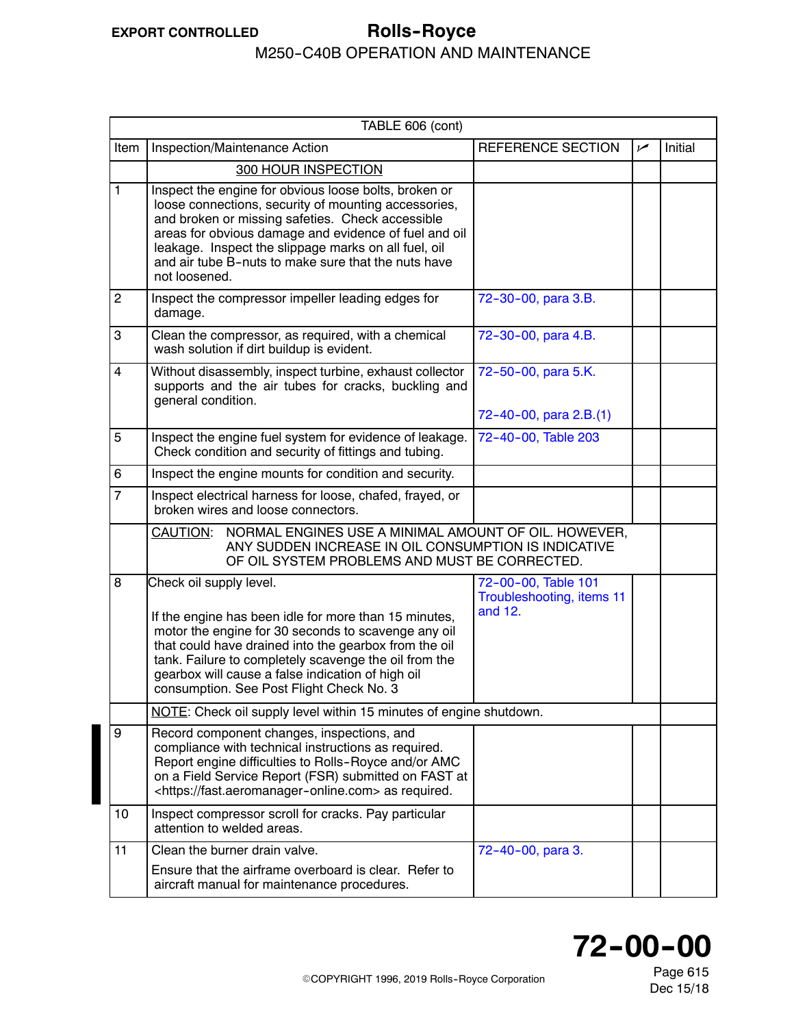#### <span id="page-8-0"></span>**EXPORT CONTROLLED Rolls--Royce** M250-C40B OPERATION AND MAINTENANCE

|                | TABLE 606 (cont)                                                                                                                                                                                                                                                                                                                                           |                                                             |     |         |  |  |
|----------------|------------------------------------------------------------------------------------------------------------------------------------------------------------------------------------------------------------------------------------------------------------------------------------------------------------------------------------------------------------|-------------------------------------------------------------|-----|---------|--|--|
| Item           | Inspection/Maintenance Action                                                                                                                                                                                                                                                                                                                              | REFERENCE SECTION                                           | مما | Initial |  |  |
|                | 300 HOUR INSPECTION                                                                                                                                                                                                                                                                                                                                        |                                                             |     |         |  |  |
| $\mathbf{1}$   | Inspect the engine for obvious loose bolts, broken or<br>loose connections, security of mounting accessories,<br>and broken or missing safeties. Check accessible<br>areas for obvious damage and evidence of fuel and oil<br>leakage. Inspect the slippage marks on all fuel, oil<br>and air tube B-nuts to make sure that the nuts have<br>not loosened. |                                                             |     |         |  |  |
| $\overline{2}$ | Inspect the compressor impeller leading edges for<br>damage.                                                                                                                                                                                                                                                                                               | 72-30-00, para 3.B.                                         |     |         |  |  |
| 3              | Clean the compressor, as required, with a chemical<br>wash solution if dirt buildup is evident.                                                                                                                                                                                                                                                            | 72-30-00, para 4.B.                                         |     |         |  |  |
| $\overline{4}$ | Without disassembly, inspect turbine, exhaust collector<br>supports and the air tubes for cracks, buckling and<br>general condition.                                                                                                                                                                                                                       | 72-50-00, para 5.K.                                         |     |         |  |  |
|                |                                                                                                                                                                                                                                                                                                                                                            | 72-40-00, para 2.B.(1)                                      |     |         |  |  |
| 5              | Inspect the engine fuel system for evidence of leakage.<br>Check condition and security of fittings and tubing.                                                                                                                                                                                                                                            | 72-40-00, Table 203                                         |     |         |  |  |
| 6              | Inspect the engine mounts for condition and security.                                                                                                                                                                                                                                                                                                      |                                                             |     |         |  |  |
| $\overline{7}$ | Inspect electrical harness for loose, chafed, frayed, or<br>broken wires and loose connectors.                                                                                                                                                                                                                                                             |                                                             |     |         |  |  |
|                | NORMAL ENGINES USE A MINIMAL AMOUNT OF OIL. HOWEVER,<br>CAUTION:<br>ANY SUDDEN INCREASE IN OIL CONSUMPTION IS INDICATIVE<br>OF OIL SYSTEM PROBLEMS AND MUST BE CORRECTED.                                                                                                                                                                                  |                                                             |     |         |  |  |
| 8              | Check oil supply level.<br>If the engine has been idle for more than 15 minutes,<br>motor the engine for 30 seconds to scavenge any oil<br>that could have drained into the gearbox from the oil<br>tank. Failure to completely scavenge the oil from the<br>gearbox will cause a false indication of high oil<br>consumption. See Post Flight Check No. 3 | 72-00-00, Table 101<br>Troubleshooting, items 11<br>and 12. |     |         |  |  |
|                | NOTE: Check oil supply level within 15 minutes of engine shutdown.                                                                                                                                                                                                                                                                                         |                                                             |     |         |  |  |
| 9              | Record component changes, inspections, and<br>compliance with technical instructions as required.<br>Report engine difficulties to Rolls-Royce and/or AMC<br>on a Field Service Report (FSR) submitted on FAST at<br><https: fast.aeromanager-online.com=""> as required.</https:>                                                                         |                                                             |     |         |  |  |
| 10             | Inspect compressor scroll for cracks. Pay particular<br>attention to welded areas.                                                                                                                                                                                                                                                                         |                                                             |     |         |  |  |
| 11             | Clean the burner drain valve.<br>Ensure that the airframe overboard is clear. Refer to<br>aircraft manual for maintenance procedures.                                                                                                                                                                                                                      | 72-40-00, para 3.                                           |     |         |  |  |

## **72--00--00**

Page 615 Dec 15/18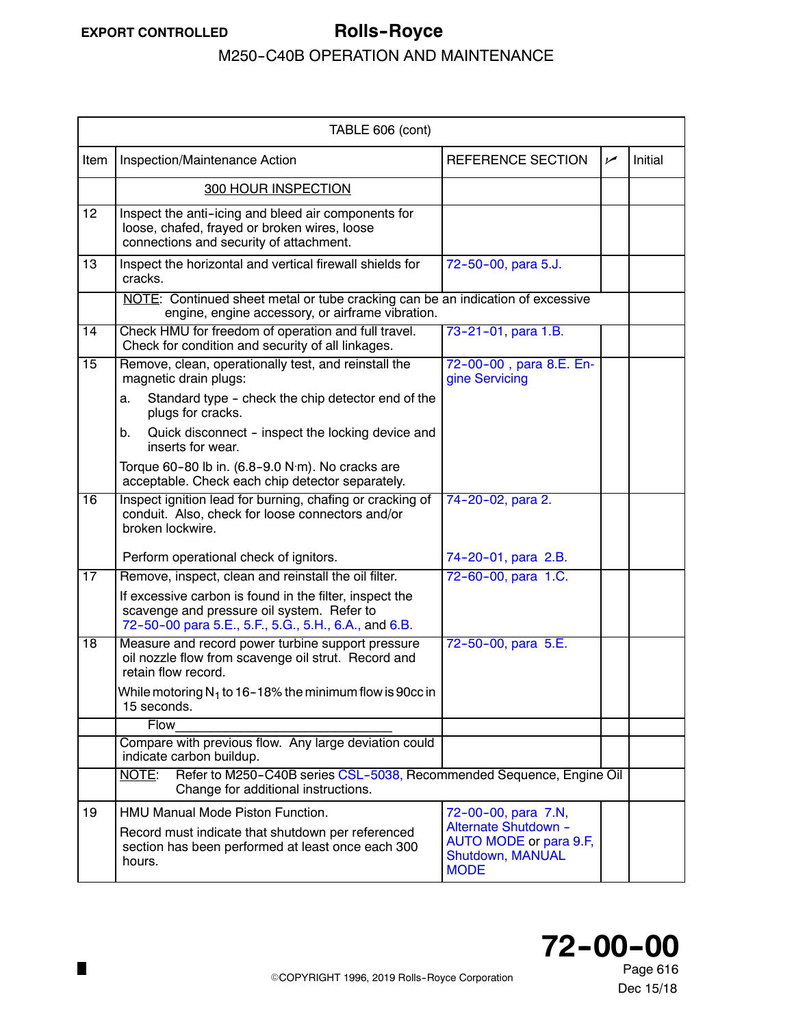<span id="page-9-0"></span>

|                 | TABLE 606 (cont)                                                                                                                                              |                                                                                   |     |         |  |
|-----------------|---------------------------------------------------------------------------------------------------------------------------------------------------------------|-----------------------------------------------------------------------------------|-----|---------|--|
| Item            | Inspection/Maintenance Action                                                                                                                                 | <b>REFERENCE SECTION</b>                                                          | سما | Initial |  |
|                 | <b>300 HOUR INSPECTION</b>                                                                                                                                    |                                                                                   |     |         |  |
| 12              | Inspect the anti-icing and bleed air components for<br>loose, chafed, frayed or broken wires, loose<br>connections and security of attachment.                |                                                                                   |     |         |  |
| 13              | Inspect the horizontal and vertical firewall shields for<br>cracks.                                                                                           | 72-50-00, para 5.J.                                                               |     |         |  |
|                 | NOTE: Continued sheet metal or tube cracking can be an indication of excessive<br>engine, engine accessory, or airframe vibration.                            |                                                                                   |     |         |  |
| $\overline{14}$ | Check HMU for freedom of operation and full travel.<br>Check for condition and security of all linkages.                                                      | 73-21-01, para 1.B.                                                               |     |         |  |
| $\overline{15}$ | Remove, clean, operationally test, and reinstall the<br>magnetic drain plugs:                                                                                 | 72-00-00, para 8.E. En-<br>gine Servicing                                         |     |         |  |
|                 | Standard type - check the chip detector end of the<br>a.<br>plugs for cracks.                                                                                 |                                                                                   |     |         |  |
|                 | b.<br>Quick disconnect - inspect the locking device and<br>inserts for wear.                                                                                  |                                                                                   |     |         |  |
|                 | Torque 60-80 lb in. (6.8-9.0 N·m). No cracks are<br>acceptable. Check each chip detector separately.                                                          |                                                                                   |     |         |  |
| $\overline{16}$ | Inspect ignition lead for burning, chafing or cracking of<br>conduit. Also, check for loose connectors and/or<br>broken lockwire.                             | 74-20-02, para 2.                                                                 |     |         |  |
|                 | Perform operational check of ignitors.                                                                                                                        | 74-20-01, para 2.B.                                                               |     |         |  |
| $\overline{17}$ | Remove, inspect, clean and reinstall the oil filter.                                                                                                          | 72-60-00, para 1.C.                                                               |     |         |  |
|                 | If excessive carbon is found in the filter, inspect the<br>scavenge and pressure oil system. Refer to<br>72-50-00 para 5.E., 5.F., 5.G., 5.H., 6.A., and 6.B. |                                                                                   |     |         |  |
| $\overline{18}$ | Measure and record power turbine support pressure<br>oil nozzle flow from scavenge oil strut. Record and<br>retain flow record.                               | 72-50-00, para 5.E.                                                               |     |         |  |
|                 | While motoring $N_1$ to 16–18% the minimum flow is 90cc in<br>15 seconds.                                                                                     |                                                                                   |     |         |  |
|                 | <b>Flow</b>                                                                                                                                                   |                                                                                   |     |         |  |
|                 | Compare with previous flow. Any large deviation could<br>indicate carbon buildup.                                                                             |                                                                                   |     |         |  |
|                 | NOTE:<br>Refer to M250-C40B series CSL-5038, Recommended Sequence, Engine Oil<br>Change for additional instructions.                                          |                                                                                   |     |         |  |
| 19              | HMU Manual Mode Piston Function.                                                                                                                              | 72-00-00, para 7.N,                                                               |     |         |  |
|                 | Record must indicate that shutdown per referenced<br>section has been performed at least once each 300<br>hours.                                              | Alternate Shutdown -<br>AUTO MODE or para 9.F,<br>Shutdown, MANUAL<br><b>MODE</b> |     |         |  |

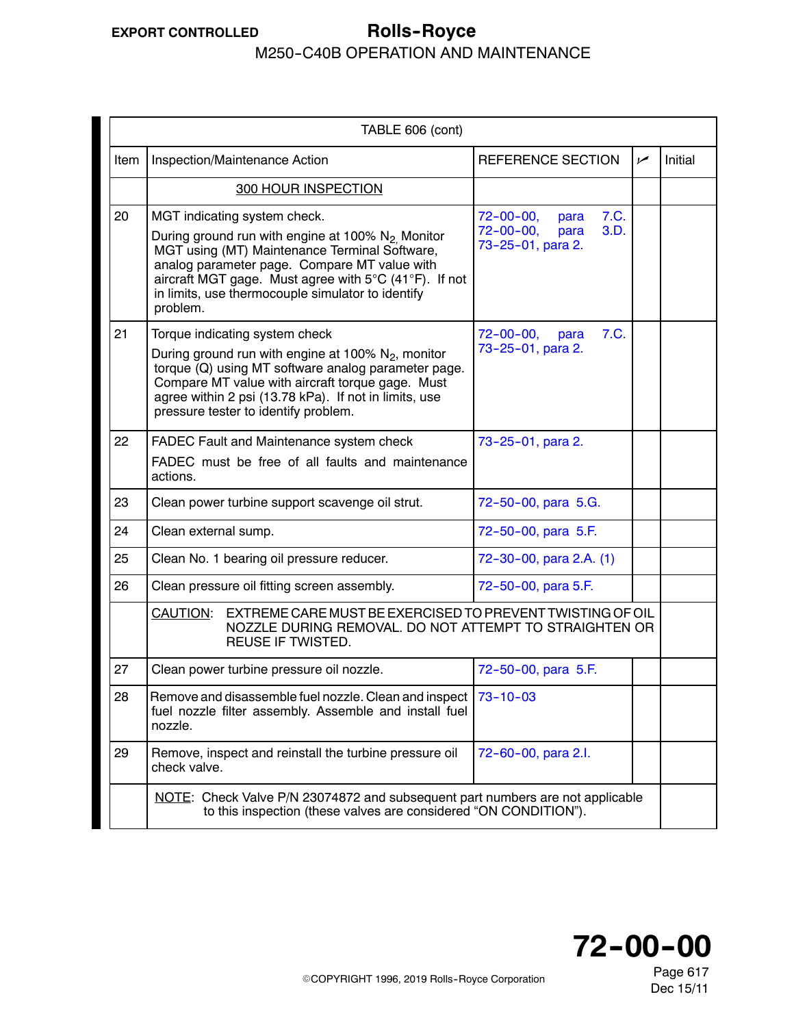### <span id="page-10-0"></span>**EXPORT CONTROLLED Rolls--Royce** M250-C40B OPERATION AND MAINTENANCE

|      | TABLE 606 (cont)                                                                                                                                                                                                                                                                                                        |                                                                                          |     |         |
|------|-------------------------------------------------------------------------------------------------------------------------------------------------------------------------------------------------------------------------------------------------------------------------------------------------------------------------|------------------------------------------------------------------------------------------|-----|---------|
| Item | Inspection/Maintenance Action                                                                                                                                                                                                                                                                                           | REFERENCE SECTION                                                                        | سما | Initial |
|      | <b>300 HOUR INSPECTION</b>                                                                                                                                                                                                                                                                                              |                                                                                          |     |         |
| 20   | MGT indicating system check.<br>During ground run with engine at 100% N <sub>2</sub> Monitor<br>MGT using (MT) Maintenance Terminal Software,<br>analog parameter page. Compare MT value with<br>aircraft MGT gage. Must agree with 5°C (41°F). If not<br>in limits, use thermocouple simulator to identify<br>problem. | $72 - 00 - 00$ ,<br>7.C.<br>para<br>$72 - 00 - 00,$<br>3.D.<br>para<br>73-25-01, para 2. |     |         |
| 21   | Torque indicating system check<br>During ground run with engine at 100% $N_2$ , monitor<br>torque (Q) using MT software analog parameter page.<br>Compare MT value with aircraft torque gage. Must<br>agree within 2 psi (13.78 kPa). If not in limits, use<br>pressure tester to identify problem.                     | 7.C.<br>$72 - 00 - 00,$<br>para<br>73-25-01, para 2.                                     |     |         |
| 22   | FADEC Fault and Maintenance system check<br>FADEC must be free of all faults and maintenance<br>actions.                                                                                                                                                                                                                | 73-25-01, para 2.                                                                        |     |         |
| 23   | Clean power turbine support scavenge oil strut.                                                                                                                                                                                                                                                                         | 72-50-00, para 5.G.                                                                      |     |         |
| 24   | Clean external sump.                                                                                                                                                                                                                                                                                                    | 72-50-00, para 5.F.                                                                      |     |         |
| 25   | Clean No. 1 bearing oil pressure reducer.                                                                                                                                                                                                                                                                               | 72-30-00, para 2.A. (1)                                                                  |     |         |
| 26   | Clean pressure oil fitting screen assembly.                                                                                                                                                                                                                                                                             | 72-50-00, para 5.F.                                                                      |     |         |
|      | CAUTION:<br>EXTREME CARE MUST BE EXERCISED TO PREVENT TWISTING OF OIL<br>NOZZLE DURING REMOVAL. DO NOT ATTEMPT TO STRAIGHTEN OR<br><b>REUSE IF TWISTED.</b>                                                                                                                                                             |                                                                                          |     |         |
| 27   | Clean power turbine pressure oil nozzle.                                                                                                                                                                                                                                                                                | 72-50-00, para 5.F.                                                                      |     |         |
| 28   | Remove and disassemble fuel nozzle. Clean and inspect 73-10-03<br>fuel nozzle filter assembly. Assemble and install fuel<br>nozzle.                                                                                                                                                                                     |                                                                                          |     |         |
| 29   | Remove, inspect and reinstall the turbine pressure oil<br>check valve.                                                                                                                                                                                                                                                  | 72-60-00, para 2.l.                                                                      |     |         |
|      | NOTE: Check Valve P/N 23074872 and subsequent part numbers are not applicable<br>to this inspection (these valves are considered "ON CONDITION").                                                                                                                                                                       |                                                                                          |     |         |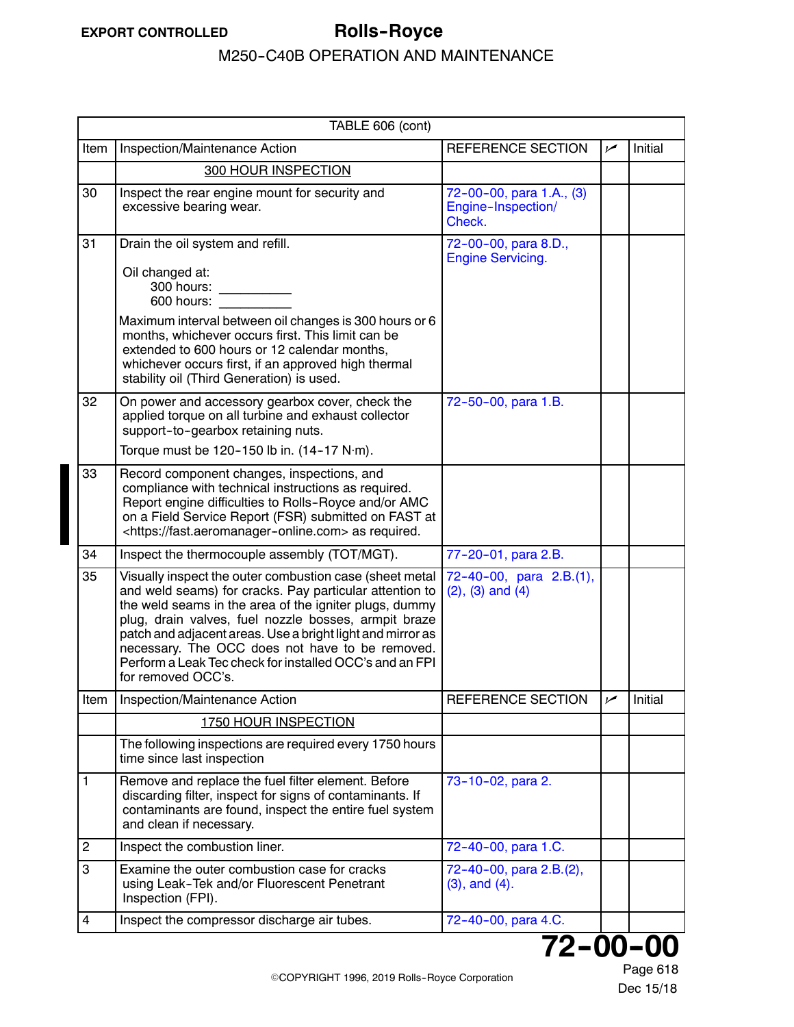<span id="page-11-0"></span>

|                | TABLE 606 (cont)                                                                                                                                                                                                                                                                                                                                                                                                                       |                                                          |     |         |  |  |
|----------------|----------------------------------------------------------------------------------------------------------------------------------------------------------------------------------------------------------------------------------------------------------------------------------------------------------------------------------------------------------------------------------------------------------------------------------------|----------------------------------------------------------|-----|---------|--|--|
| Item           | Inspection/Maintenance Action                                                                                                                                                                                                                                                                                                                                                                                                          | <b>REFERENCE SECTION</b>                                 | سما | Initial |  |  |
|                | 300 HOUR INSPECTION                                                                                                                                                                                                                                                                                                                                                                                                                    |                                                          |     |         |  |  |
| 30             | Inspect the rear engine mount for security and<br>excessive bearing wear.                                                                                                                                                                                                                                                                                                                                                              | 72-00-00, para 1.A., (3)<br>Engine-Inspection/<br>Check. |     |         |  |  |
| 31             | Drain the oil system and refill.<br>Oil changed at:<br>300 hours:<br>600 hours:<br>Maximum interval between oil changes is 300 hours or 6<br>months, whichever occurs first. This limit can be<br>extended to 600 hours or 12 calendar months,<br>whichever occurs first, if an approved high thermal<br>stability oil (Third Generation) is used.                                                                                     | 72-00-00, para 8.D.,<br><b>Engine Servicing.</b>         |     |         |  |  |
| 32             | On power and accessory gearbox cover, check the<br>applied torque on all turbine and exhaust collector<br>support-to-gearbox retaining nuts.<br>Torque must be 120-150 lb in. (14-17 N·m).                                                                                                                                                                                                                                             | 72-50-00, para 1.B.                                      |     |         |  |  |
| 33             | Record component changes, inspections, and<br>compliance with technical instructions as required.<br>Report engine difficulties to Rolls-Royce and/or AMC<br>on a Field Service Report (FSR) submitted on FAST at<br><https: fast.aeromanager-online.com=""> as required.</https:>                                                                                                                                                     |                                                          |     |         |  |  |
| 34             | Inspect the thermocouple assembly (TOT/MGT).                                                                                                                                                                                                                                                                                                                                                                                           | 77-20-01, para 2.B.                                      |     |         |  |  |
| 35             | Visually inspect the outer combustion case (sheet metal<br>and weld seams) for cracks. Pay particular attention to<br>the weld seams in the area of the igniter plugs, dummy<br>plug, drain valves, fuel nozzle bosses, armpit braze<br>patch and adjacent areas. Use a bright light and mirror as<br>necessary. The OCC does not have to be removed.<br>Perform a Leak Tec check for installed OCC's and an FPI<br>for removed OCC's. | 72-40-00, para 2.B.(1),<br>$(2)$ , $(3)$ and $(4)$       |     |         |  |  |
| Item           | Inspection/Maintenance Action                                                                                                                                                                                                                                                                                                                                                                                                          | <b>REFERENCE SECTION</b>                                 | مم  | Initial |  |  |
|                | 1750 HOUR INSPECTION                                                                                                                                                                                                                                                                                                                                                                                                                   |                                                          |     |         |  |  |
|                | The following inspections are required every 1750 hours<br>time since last inspection                                                                                                                                                                                                                                                                                                                                                  |                                                          |     |         |  |  |
| 1              | Remove and replace the fuel filter element. Before<br>discarding filter, inspect for signs of contaminants. If<br>contaminants are found, inspect the entire fuel system<br>and clean if necessary.                                                                                                                                                                                                                                    | 73-10-02, para 2.                                        |     |         |  |  |
| $\overline{c}$ | Inspect the combustion liner.                                                                                                                                                                                                                                                                                                                                                                                                          | 72-40-00, para 1.C.                                      |     |         |  |  |
| 3              | Examine the outer combustion case for cracks<br>using Leak-Tek and/or Fluorescent Penetrant<br>Inspection (FPI).                                                                                                                                                                                                                                                                                                                       | 72-40-00, para 2.B.(2),<br>$(3)$ , and $(4)$ .           |     |         |  |  |
| 4              | Inspect the compressor discharge air tubes.                                                                                                                                                                                                                                                                                                                                                                                            | 72-40-00, para 4.C.                                      |     |         |  |  |

**72--00--00**